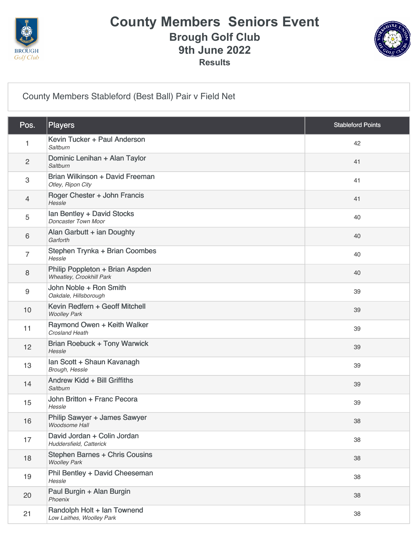

### **County Members Seniors Event Brough Golf Club 9th June 2022 Results**



[County Members Stableford \(Best Ball\) Pair v Field Net](https://static.golfgenius.com/v2tournaments/8039229537659157389?called_from=&round_index=1)

| Pos.                      | <b>Players</b>                                               | <b>Stableford Points</b> |
|---------------------------|--------------------------------------------------------------|--------------------------|
| 1                         | Kevin Tucker + Paul Anderson<br>Saltburn                     | 42                       |
| $\overline{c}$            | Dominic Lenihan + Alan Taylor<br>Saltburn                    | 41                       |
| $\ensuremath{\mathsf{3}}$ | Brian Wilkinson + David Freeman<br>Otley, Ripon City         | 41                       |
| 4                         | Roger Chester + John Francis<br>Hessle                       | 41                       |
| 5                         | Ian Bentley + David Stocks<br>Doncaster Town Moor            | 40                       |
| 6                         | Alan Garbutt + ian Doughty<br>Garforth                       | 40                       |
| $\overline{7}$            | Stephen Trynka + Brian Coombes<br>Hessle                     | 40                       |
| 8                         | Philip Poppleton + Brian Aspden<br>Wheatley, Crookhill Park  | 40                       |
| 9                         | John Noble + Ron Smith<br>Oakdale, Hillsborough              | 39                       |
| 10                        | Kevin Redfern + Geoff Mitchell<br><b>Woolley Park</b>        | 39                       |
| 11                        | Raymond Owen + Keith Walker<br><b>Crosland Heath</b>         | 39                       |
| 12                        | <b>Brian Roebuck + Tony Warwick</b><br>Hessle                | 39                       |
| 13                        | Ian Scott + Shaun Kavanagh<br>Brough, Hessle                 | 39                       |
| 14                        | Andrew Kidd + Bill Griffiths<br>Saltburn                     | 39                       |
| 15                        | John Britton + Franc Pecora<br>Hessle                        | 39                       |
| 16                        | Philip Sawyer + James Sawyer<br>Woodsome Hall                | 38                       |
| 17                        | David Jordan + Colin Jordan<br>Huddersfield, Catterick       | 38                       |
| 18                        | <b>Stephen Barnes + Chris Cousins</b><br><b>Woolley Park</b> | 38                       |
| 19                        | Phil Bentley + David Cheeseman<br>Hessle                     | 38                       |
| 20                        | Paul Burgin + Alan Burgin<br>Phoenix                         | 38                       |
| 21                        | Randolph Holt + Ian Townend<br>Low Laithes, Woolley Park     | 38                       |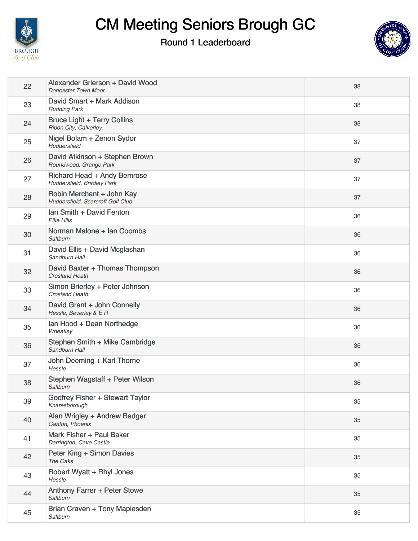

# CM Meeting Seniors Brough GC

#### Round 1 Leaderboard



| 22 | Alexander Grierson + David Wood<br><b>Doncaster Town Moor</b>  | 38 |
|----|----------------------------------------------------------------|----|
| 23 | David Smart + Mark Addison<br><b>Rudding Park</b>              | 38 |
| 24 | <b>Bruce Light + Terry Collins</b><br>Ripon City, Calverley    | 38 |
| 25 | Nigel Bolam + Zenon Sydor<br>Huddersfield                      | 37 |
| 26 | David Atkinson + Stephen Brown<br>Roundwood, Grange Park       | 37 |
| 27 | Richard Head + Andy Bemrose<br>Huddersfield, Bradley Park      | 37 |
| 28 | Robin Merchant + John Kay<br>Huddersfield, Scarcroft Golf Club | 37 |
| 29 | Ian Smith + David Fenton<br><b>Pike Hills</b>                  | 36 |
| 30 | Norman Malone + Ian Coombs<br>Saltburn                         | 36 |
| 31 | David Ellis + David Mcglashan<br>Sandburn Hall                 | 36 |
| 32 | David Baxter + Thomas Thompson<br><b>Crosland Heath</b>        | 36 |
| 33 | Simon Brierley + Peter Johnson<br>Crosland Heath               | 36 |
| 34 | David Grant + John Connelly<br>Hessle, Beverley & E R          | 36 |
| 35 | Ian Hood + Dean Northedge<br>Wheatley                          | 36 |
| 36 | Stephen Smith + Mike Cambridge<br>Sandburn Hall                | 36 |
| 37 | John Deeming + Karl Thorne<br>Hessle                           | 36 |
| 38 | Stephen Wagstaff + Peter Wilson<br>Saltburn                    | 36 |
| 39 | Godfrey Fisher + Stewart Taylor<br>Knaresborough               | 35 |
| 40 | Alan Wrigley + Andrew Badger<br>Ganton, Phoenix                | 35 |
| 41 | Mark Fisher + Paul Baker<br>Darrington, Cave Castle            | 35 |
| 42 | Peter King + Simon Davies<br>The Oaks                          | 35 |
| 43 | Robert Wyatt + Rhyl Jones<br>Hessle                            | 35 |
| 44 | Anthony Farrer + Peter Stowe<br>Saltburn                       | 35 |
| 45 | Brian Craven + Tony Maplesden<br>Saltburn                      | 35 |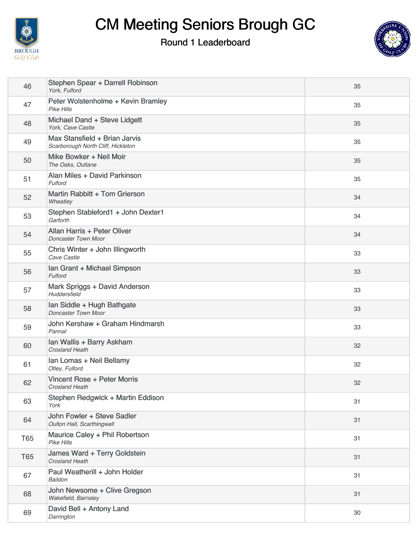

# CM Meeting Seniors Brough GC

Round 1 Leaderboard



| 46         | Stephen Spear + Darrell Robinson<br>York, Fulford                   | 35 |
|------------|---------------------------------------------------------------------|----|
| 47         | Peter Wolstenholme + Kevin Bramley<br>Pike Hills                    | 35 |
| 48         | Michael Dand + Steve Lidgett<br>York, Cave Castle                   | 35 |
| 49         | Max Stansfield + Brian Jarvis<br>Scarborough North Cliff, Hickleton | 35 |
| 50         | Mike Bowker + Neil Moir<br>The Oaks, Outlane                        | 35 |
| 51         | Alan Miles + David Parkinson<br>Fulford                             | 35 |
| 52         | Martin Rabbitt + Tom Grierson<br>Wheatley                           | 34 |
| 53         | Stephen Stableford1 + John Dexter1<br>Garforth                      | 34 |
| 54         | Allan Harris + Peter Oliver<br><b>Doncaster Town Moor</b>           | 34 |
| 55         | Chris Winter + John Illingworth<br>Cave Castle                      | 33 |
| 56         | Ian Grant + Michael Simpson<br>Fulford                              | 33 |
| 57         | Mark Spriggs + David Anderson<br>Huddersfield                       | 33 |
| 58         | Ian Siddle + Hugh Bathgate<br>Doncaster Town Moor                   | 33 |
| 59         | John Kershaw + Graham Hindmarsh<br>Pannal                           | 33 |
| 60         | Ian Wallis + Barry Askham<br><b>Crosland Heath</b>                  | 32 |
| 61         | Ian Lomas + Neil Bellamy<br>Otley, Fulford                          | 32 |
| 62         | Vincent Rose + Peter Morris<br><b>Crosland Heath</b>                | 32 |
| 63         | Stephen Redgwick + Martin Eddison<br>York                           | 31 |
| 64         | John Fowler + Steve Sadler<br>Oulton Hall, Scarthingwell            | 31 |
| <b>T65</b> | Maurice Caley + Phil Robertson<br><b>Pike Hills</b>                 | 31 |
| <b>T65</b> | James Ward + Terry Goldstein<br><b>Crosland Heath</b>               | 31 |
| 67         | Paul Weatherill + John Holder<br>Baildon                            | 31 |
| 68         | John Newsome + Clive Gregson<br>Wakefield, Barnsley                 | 31 |
| 69         | David Bell + Antony Land<br>Darrington                              | 30 |